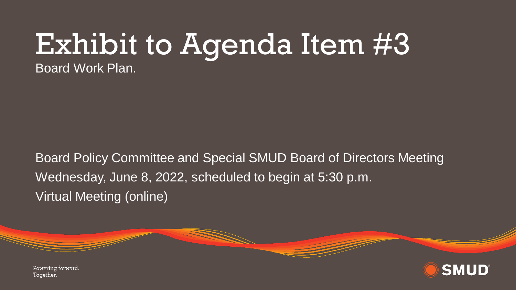## Exhibit to Agenda Item #3

Board Work Plan.

Board Policy Committee and Special SMUD Board of Directors Meeting Wednesday, June 8, 2022, scheduled to begin at 5:30 p.m. Virtual Meeting (online)



**SMUD** 

Powering forward. Together.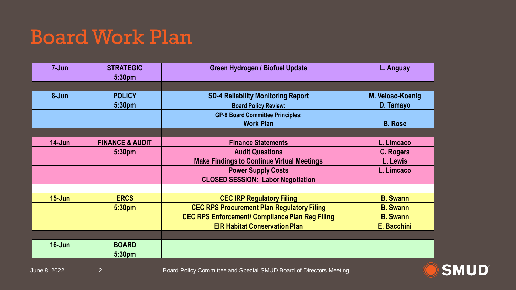## Board Work Plan

| $7 - Jun$  | <b>STRATEGIC</b>           | <b>Green Hydrogen / Biofuel Update</b>                 | L. Anguay        |
|------------|----------------------------|--------------------------------------------------------|------------------|
|            | 5:30pm                     |                                                        |                  |
|            |                            |                                                        |                  |
| 8-Jun      | <b>POLICY</b>              | <b>SD-4 Reliability Monitoring Report</b>              | M. Veloso-Koenig |
|            | 5:30pm                     | <b>Board Policy Review:</b>                            | D. Tamayo        |
|            |                            | <b>GP-8 Board Committee Principles;</b>                |                  |
|            |                            | <b>Work Plan</b>                                       | <b>B.</b> Rose   |
|            |                            |                                                        |                  |
| $14 - Jun$ | <b>FINANCE &amp; AUDIT</b> | <b>Finance Statements</b>                              | L. Limcaco       |
|            | 5:30pm                     | <b>Audit Questions</b>                                 | C. Rogers        |
|            |                            | <b>Make Findings to Continue Virtual Meetings</b>      | L. Lewis         |
|            |                            | <b>Power Supply Costs</b>                              | L. Limcaco       |
|            |                            | <b>CLOSED SESSION: Labor Negotiation</b>               |                  |
|            |                            |                                                        |                  |
| $15 - Jun$ | <b>ERCS</b>                | <b>CEC IRP Regulatory Filing</b>                       | <b>B.</b> Swann  |
|            | 5:30pm                     | <b>CEC RPS Procurement Plan Regulatory Filing</b>      | <b>B.</b> Swann  |
|            |                            | <b>CEC RPS Enforcement/ Compliance Plan Reg Filing</b> | <b>B. Swann</b>  |
|            |                            | <b>EIR Habitat Conservation Plan</b>                   | E. Bacchini      |
|            |                            |                                                        |                  |
| $16 - Jun$ | <b>BOARD</b>               |                                                        |                  |
|            | 5:30 <sub>pm</sub>         |                                                        |                  |



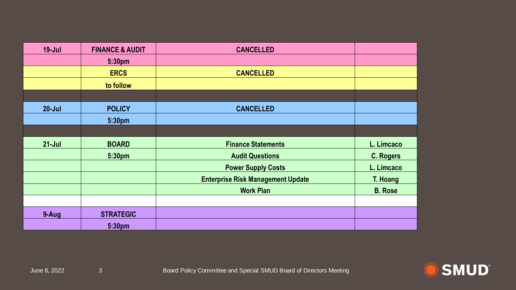| $19 -$ Jul | <b>FINANCE &amp; AUDIT</b> | <b>CANCELLED</b>                         |                  |
|------------|----------------------------|------------------------------------------|------------------|
|            | 5:30pm                     |                                          |                  |
|            | <b>ERCS</b>                | <b>CANCELLED</b>                         |                  |
|            | to follow                  |                                          |                  |
|            |                            |                                          |                  |
| $20 -$ Jul | <b>POLICY</b>              | <b>CANCELLED</b>                         |                  |
|            | 5:30pm                     |                                          |                  |
|            |                            |                                          |                  |
| $21 - Jul$ | <b>BOARD</b>               | <b>Finance Statements</b>                | L. Limcaco       |
|            | 5:30pm                     | <b>Audit Questions</b>                   | <b>C. Rogers</b> |
|            |                            | <b>Power Supply Costs</b>                | L. Limcaco       |
|            |                            | <b>Enterprise Risk Management Update</b> | T. Hoang         |
|            |                            | <b>Work Plan</b>                         | <b>B. Rose</b>   |
|            |                            |                                          |                  |
| 9-Aug      | <b>STRATEGIC</b>           |                                          |                  |
|            | 5:30pm                     |                                          |                  |

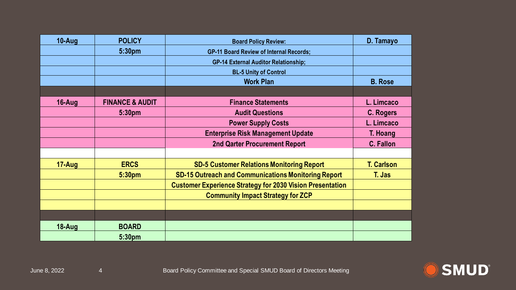| 10-Aug     | <b>POLICY</b>              | <b>Board Policy Review:</b>                                      | D. Tamayo         |
|------------|----------------------------|------------------------------------------------------------------|-------------------|
|            | 5:30pm                     | <b>GP-11 Board Review of Internal Records;</b>                   |                   |
|            |                            | <b>GP-14 External Auditor Relationship;</b>                      |                   |
|            |                            | <b>BL-5 Unity of Control</b>                                     |                   |
|            |                            | <b>Work Plan</b>                                                 | <b>B.</b> Rose    |
|            |                            |                                                                  |                   |
| 16-Aug     | <b>FINANCE &amp; AUDIT</b> | <b>Finance Statements</b>                                        | L. Limcaco        |
|            | 5:30 <sub>pm</sub>         | <b>Audit Questions</b>                                           | C. Rogers         |
|            |                            | <b>Power Supply Costs</b>                                        | L. Limcaco        |
|            |                            | <b>Enterprise Risk Management Update</b>                         | T. Hoang          |
|            |                            | <b>2nd Qarter Procurement Report</b>                             | <b>C. Fallon</b>  |
|            |                            |                                                                  |                   |
| $17 - Aug$ | <b>ERCS</b>                | <b>SD-5 Customer Relations Monitoring Report</b>                 | <b>T. Carlson</b> |
|            | 5:30 <sub>pm</sub>         | <b>SD-15 Outreach and Communications Monitoring Report</b>       | T. Jas            |
|            |                            | <b>Customer Experience Strategy for 2030 Vision Presentation</b> |                   |
|            |                            | <b>Community Impact Strategy for ZCP</b>                         |                   |
|            |                            |                                                                  |                   |
|            |                            |                                                                  |                   |
| 18-Aug     | <b>BOARD</b>               |                                                                  |                   |
|            | 5:30 <sub>pm</sub>         |                                                                  |                   |

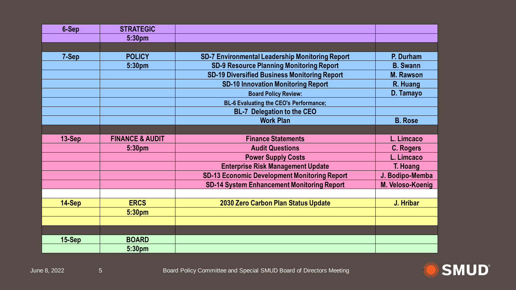| 6-Sep    | <b>STRATEGIC</b>           |                                                        |                  |
|----------|----------------------------|--------------------------------------------------------|------------------|
|          | 5:30pm                     |                                                        |                  |
|          |                            |                                                        |                  |
| 7-Sep    | <b>POLICY</b>              | <b>SD-7 Environmental Leadership Monitoring Report</b> | P. Durham        |
|          | 5:30pm                     | <b>SD-9 Resource Planning Monitoring Report</b>        | <b>B.</b> Swann  |
|          |                            | <b>SD-19 Diversified Business Monitoring Report</b>    | <b>M. Rawson</b> |
|          |                            | <b>SD-10 Innovation Monitoring Report</b>              | R. Huang         |
|          |                            | <b>Board Policy Review:</b>                            | D. Tamayo        |
|          |                            | <b>BL-6 Evaluating the CEO's Performance;</b>          |                  |
|          |                            | <b>BL-7 Delegation to the CEO</b>                      |                  |
|          |                            | <b>Work Plan</b>                                       | <b>B.</b> Rose   |
|          |                            |                                                        |                  |
| $13-Sep$ | <b>FINANCE &amp; AUDIT</b> | <b>Finance Statements</b>                              | L. Limcaco       |
|          | 5:30 <sub>pm</sub>         | <b>Audit Questions</b>                                 | <b>C. Rogers</b> |
|          |                            | <b>Power Supply Costs</b>                              | L. Limcaco       |
|          |                            | <b>Enterprise Risk Management Update</b>               | T. Hoang         |
|          |                            | <b>SD-13 Economic Development Monitoring Report</b>    | J. Bodipo-Memba  |
|          |                            | <b>SD-14 System Enhancement Monitoring Report</b>      | M. Veloso-Koenig |
|          |                            |                                                        |                  |
| 14-Sep   | <b>ERCS</b>                | 2030 Zero Carbon Plan Status Update                    | J. Hribar        |
|          | 5:30pm                     |                                                        |                  |
|          |                            |                                                        |                  |
|          |                            |                                                        |                  |
| $15-Sep$ | <b>BOARD</b>               |                                                        |                  |
|          | 5:30pm                     |                                                        |                  |

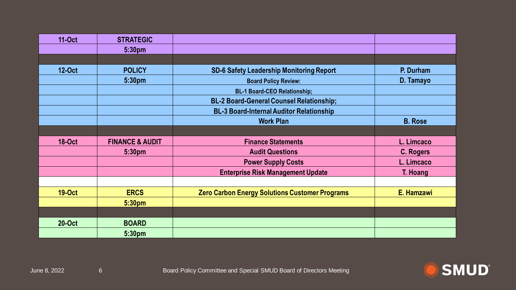| <b>11-Oct</b> | <b>STRATEGIC</b>           |                                                       |                  |
|---------------|----------------------------|-------------------------------------------------------|------------------|
|               | 5:30pm                     |                                                       |                  |
|               |                            |                                                       |                  |
| <b>12-Oct</b> | <b>POLICY</b>              | <b>SD-6 Safety Leadership Monitoring Report</b>       | P. Durham        |
|               | 5:30pm                     | <b>Board Policy Review:</b>                           | D. Tamayo        |
|               |                            | <b>BL-1 Board-CEO Relationship;</b>                   |                  |
|               |                            | <b>BL-2 Board-General Counsel Relationship;</b>       |                  |
|               |                            | <b>BL-3 Board-Internal Auditor Relationship</b>       |                  |
|               |                            | <b>Work Plan</b>                                      | <b>B.</b> Rose   |
|               |                            |                                                       |                  |
| <b>18-Oct</b> | <b>FINANCE &amp; AUDIT</b> | <b>Finance Statements</b>                             | L. Limcaco       |
|               | 5:30pm                     | <b>Audit Questions</b>                                | <b>C. Rogers</b> |
|               |                            | <b>Power Supply Costs</b>                             | L. Limcaco       |
|               |                            | <b>Enterprise Risk Management Update</b>              | T. Hoang         |
|               |                            |                                                       |                  |
| <b>19-Oct</b> | <b>ERCS</b>                | <b>Zero Carbon Energy Solutions Customer Programs</b> | E. Hamzawi       |
|               | 5:30pm                     |                                                       |                  |
|               |                            |                                                       |                  |
| <b>20-Oct</b> | <b>BOARD</b>               |                                                       |                  |
|               | 5:30pm                     |                                                       |                  |